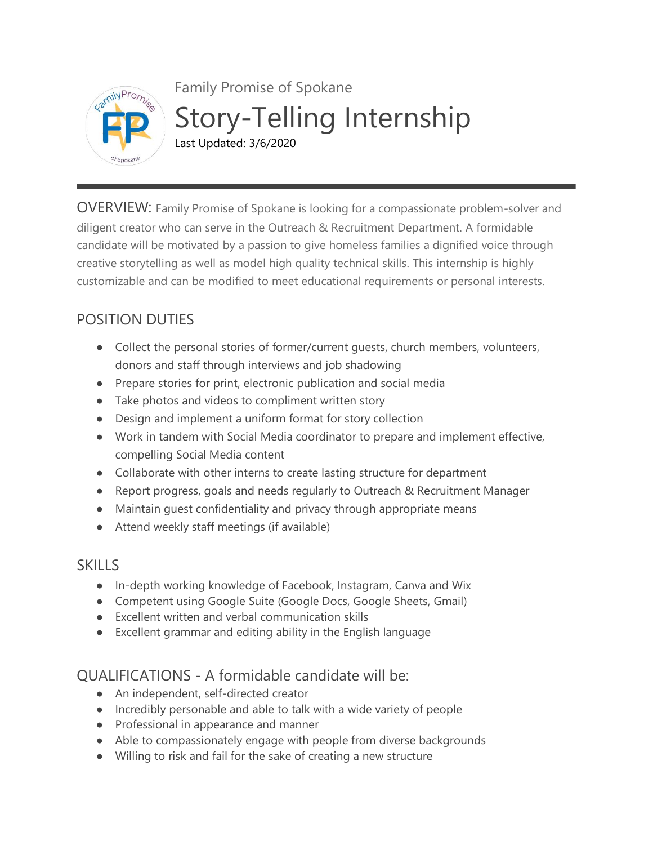

Family Promise of Spokane Story-Telling Internship Last Updated: 3/6/2020

OVERVIEW: Family Promise of Spokane is looking for a compassionate problem-solver and diligent creator who can serve in the Outreach & Recruitment Department. A formidable candidate will be motivated by a passion to give homeless families a dignified voice through creative storytelling as well as model high quality technical skills. This internship is highly customizable and can be modified to meet educational requirements or personal interests.

## POSITION DUTIES

- Collect the personal stories of former/current guests, church members, volunteers, donors and staff through interviews and job shadowing
- Prepare stories for print, electronic publication and social media
- Take photos and videos to compliment written story
- Design and implement a uniform format for story collection
- Work in tandem with Social Media coordinator to prepare and implement effective, compelling Social Media content
- Collaborate with other interns to create lasting structure for department
- Report progress, goals and needs regularly to Outreach & Recruitment Manager
- Maintain guest confidentiality and privacy through appropriate means
- Attend weekly staff meetings (if available)

## **SKILLS**

- In-depth working knowledge of Facebook, Instagram, Canva and Wix
- Competent using Google Suite (Google Docs, Google Sheets, Gmail)
- Excellent written and verbal communication skills
- Excellent grammar and editing ability in the English language

## QUALIFICATIONS - A formidable candidate will be:

- An independent, self-directed creator
- Incredibly personable and able to talk with a wide variety of people
- Professional in appearance and manner
- Able to compassionately engage with people from diverse backgrounds
- Willing to risk and fail for the sake of creating a new structure